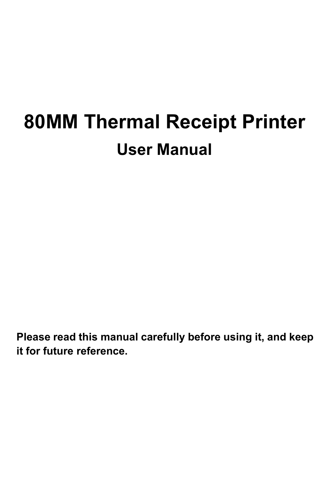**Please read this manual carefully before using it, and keep it for future reference.**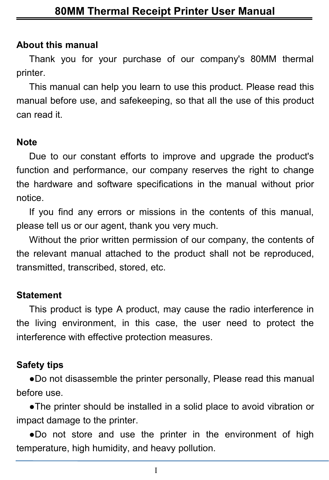#### **About this manual**

Thank you for your purchase of our company's 80MM thermal printer.

This manual can help you learn to use this product. Please read this manual before use, and safekeeping, so that all the use of this product can read it.

#### **Note**

Due to our constant efforts to improve and upgrade the product's function and performance, our company reserves the right to change the hardware and software specifications in the manual without prior notice.

If you find any errors or missions in the contents of this manual, please tell us or our agent, thank you very much.

Without the prior written permission of our company, the contents of the relevant manual attached to the product shall not be reproduced, transmitted, transcribed, stored, etc.

#### **Statement**

This product is type A product, may cause the radio interference in the living environment, in this case, the user need to protect the interference with effective protection measures.

#### **Safety tips**

●Do not disassemble the printer personally, Please read this manual before use.

●The printer should be installed in a solid place to avoid vibration or impact damage to the printer.

●Do not store and use the printer in the environment of high temperature, high humidity, and heavy pollution.

I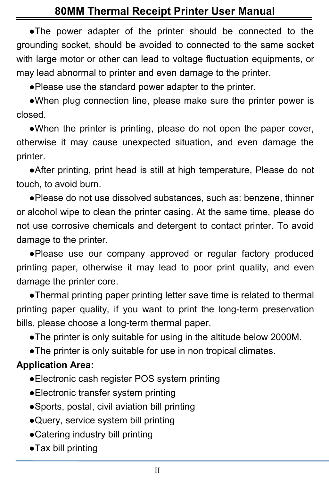●The power adapter of the printer should be connected to the grounding socket, should be avoided to connected to the same socket with large motor or other can lead to voltage fluctuation equipments, or may lead abnormal to printer and even damage to the printer.

●Please use the standard power adapter to the printer.

●When plug connection line, please make sure the printer power is closed.

●When the printer is printing, please do not open the paper cover, otherwise it may cause unexpected situation, and even damage the printer.

●After printing, print head is still at high temperature, Please do not touch, to avoid burn.<br>●Please do not use dissolved substances, such as: benzene, thinner

or alcohol wipe to clean the printer casing. At the same time, please do not use corrosive chemicals and detergent to contact printer. To avoid damage to the printer.

●Please use our company approved or regular factory produced printing paper, otherwise it may lead to poor print quality, and even damage the printer core.

●Thermal printing paper printing letter save time is related to thermal printing paper quality, if you want to print the long-term preservation bills, please choose a long-term thermal paper.

●The printer is only suitable for using in the altitude below 2000M.

●The printer is only suitable for use in non tropical climates.

#### **Application Area:**

- ●Electronic cash register POS system printing
- ●Electronic transfer system printing
- ●Sports, postal, civil aviation bill printing
- ●Query, service system bill printing
- ●Catering industry bill printing
- ●Tax bill printing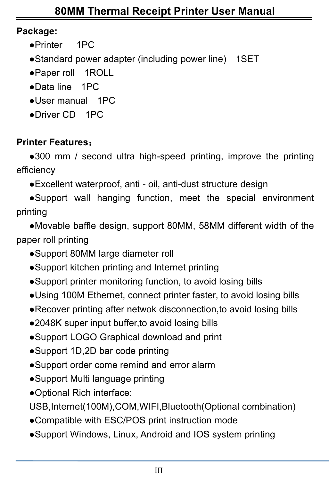#### **Package:**

- ●Printer 1PC
- ●Standard power adapter (including power line) 1SET
- ●Paper roll 1ROLL
- ●Data line 1PC
- ●User manual 1PC
- ●Driver CD 1PC

# **Printer Features**:

●300 mm / second ultra high-speed printing, improve the printing efficiency

●Excellent waterproof, anti - oil, anti-dust structure design

●Support wall hanging function, meet the special environment printing

●Movable baffle design, support 80MM, 58MM different width of the paper roll printing

- Support 80MM large diameter roll
- ●Support kitchen printing and Internet printing
- ●Support printer monitoring function, to avoid losing bills
- ●Using 100M Ethernet, connect printer faster, to avoid losing bills
- ●Recover printing after netwok disconnection,to avoid losing bills
- ●2048K super input buffer, to avoid losing bills
- ●Support LOGO Graphical download and print
- ●Support 1D,2D bar code printing
- ●Support order come remind and error alarm
- ●Support Multi language printing
- ●Optional Rich interface:

USB,Internet(100M),COM,WIFI,Bluetooth(Optional combination)

- ●Compatible with ESC/POS print instruction mode
- ●Support Windows, Linux, Android and IOS system printing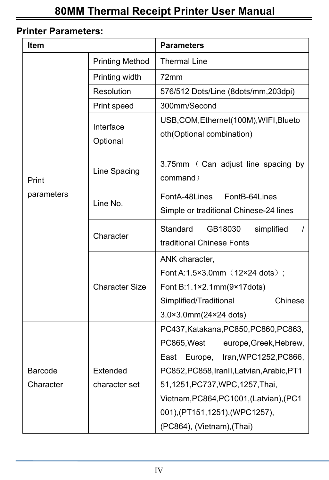#### **Printer Parameters:**

| <b>Item</b>         |                        | <b>Parameters</b>                                                                                                                                                      |  |  |
|---------------------|------------------------|------------------------------------------------------------------------------------------------------------------------------------------------------------------------|--|--|
|                     | <b>Printing Method</b> | <b>Thermal Line</b>                                                                                                                                                    |  |  |
| Print<br>parameters | Printing width         | 72mm                                                                                                                                                                   |  |  |
|                     | Resolution             | 576/512 Dots/Line (8dots/mm,203dpi)                                                                                                                                    |  |  |
|                     | Print speed            | 300mm/Second                                                                                                                                                           |  |  |
|                     | Interface<br>Optional  | USB, COM, Ethernet(100M), WIFI, Blueto<br>oth(Optional combination)                                                                                                    |  |  |
|                     | Line Spacing           | 3.75mm ( Can adjust line spacing by<br>command)                                                                                                                        |  |  |
|                     | Line No.               | FontA-48Lines<br>FontB-64Lines<br>Simple or traditional Chinese-24 lines                                                                                               |  |  |
|                     | Character              | Standard<br>GB18030<br>simplified<br>$\prime$<br>traditional Chinese Fonts                                                                                             |  |  |
|                     | <b>Character Size</b>  | ANK character,<br>Font A:1.5×3.0mm (12×24 dots);<br>Font B:1.1×2.1mm(9×17dots)<br>Simplified/Traditional<br>Chinese<br>3.0×3.0mm(24×24 dots)                           |  |  |
| Barcode             | Extended               | PC437, Katakana, PC850, PC860, PC863,<br>PC865, West<br>europe, Greek, Hebrew,<br>East Europe,<br>Iran, WPC1252, PC866,<br>PC852, PC858, Iran II, Latvian, Arabic, PT1 |  |  |
| Character           | character set          | 51,1251, PC737, WPC, 1257, Thai,<br>Vietnam, PC864, PC1001, (Latvian), (PC1<br>001),(PT151,1251),(WPC1257),<br>(PC864), (Vietnam), (Thai)                              |  |  |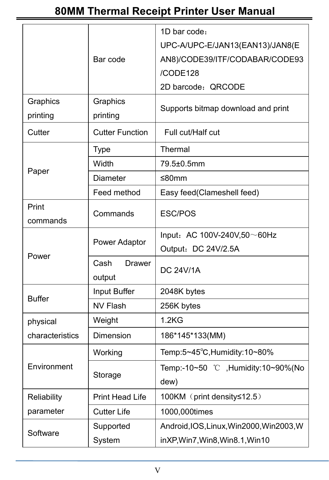|                   |                          | 1D bar code:                               |  |
|-------------------|--------------------------|--------------------------------------------|--|
|                   |                          | UPC-A/UPC-E/JAN13(EAN13)/JAN8(E            |  |
|                   | Bar code                 | AN8)/CODE39/ITF/CODABAR/CODE93             |  |
|                   |                          | /CODE128                                   |  |
|                   |                          | 2D barcode: QRCODE                         |  |
| Graphics          | Graphics                 |                                            |  |
| printing          | printing                 | Supports bitmap download and print         |  |
| Cutter            | <b>Cutter Function</b>   | Full cut/Half cut                          |  |
|                   | <b>Type</b>              | Thermal                                    |  |
| Paper             | Width                    | 79.5±0.5mm                                 |  |
|                   | Diameter                 | ≤80mm                                      |  |
|                   | Feed method              | Easy feed(Clameshell feed)                 |  |
| Print<br>commands | Commands                 | ESC/POS                                    |  |
|                   |                          | Input: AC 100V-240V,50~60Hz                |  |
|                   | Power Adaptor            | Output: DC 24V/2.5A                        |  |
| Power             | Cash<br>Drawer<br>output | <b>DC 24V/1A</b>                           |  |
|                   | Input Buffer             | 2048K bytes                                |  |
| <b>Buffer</b>     | NV Flash                 | 256K bytes                                 |  |
| physical          | Weight                   | 1.2 <sub>K</sub> G                         |  |
| characteristics   | Dimension                | 186*145*133(MM)                            |  |
| Environment       | Working                  | Temp:5~45°C, Humidity:10~80%               |  |
|                   | Storage                  | Temp:-10~50 °C ,Humidity:10~90%(No<br>dew) |  |
| Reliability       | Print Head Life          | 100KM (print density≤12.5)                 |  |
| parameter         | <b>Cutter Life</b>       | 1000,000times                              |  |
|                   | Supported                | Android, IOS, Linux, Win2000, Win2003, W   |  |
| Software          | System                   | inXP, Win7, Win8, Win8.1, Win10            |  |
|                   |                          |                                            |  |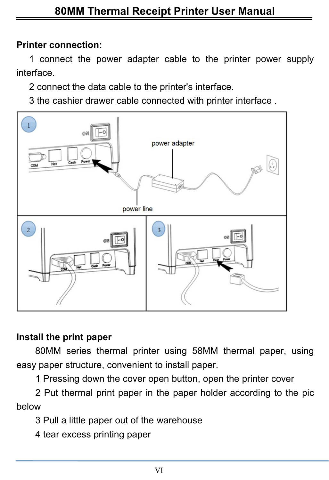#### **Printer connection:**

1 connect the power adapter cable to the printer power supply interface.

2 connect the data cable to the printer's interface.

3 the cashier drawer cable connected with printer interface .



#### **Install the print paper**

80MM series thermal printer using 58MM thermal paper, using easy paper structure, convenient to install paper.

1 Pressing down the cover open button, open the printer cover

2 Put thermal print paper in the paper holder according to the pic below

- 3 Pull a little paper out of the warehouse
- 4 tear excess printing paper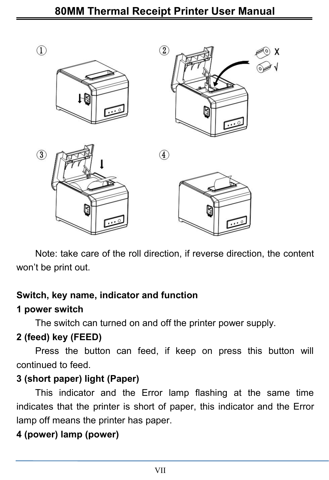

Note: take care of the roll direction, if reverse direction, the content won't be print out.

#### **Switch, key name, indicator and function**

#### **1 powerswitch**

The switch can turned on and off the printer power supply.

#### **2 (feed) key (FEED)**

Press the button can feed, if keep on press this button will continued to feed.

# **3 (short paper) light (Paper)**

This indicator and the Error lamp flashing at the same time indicates that the printer is short of paper, this indicator and the Error lamp off means the printer has paper.

# **4 (power) lamp (power)**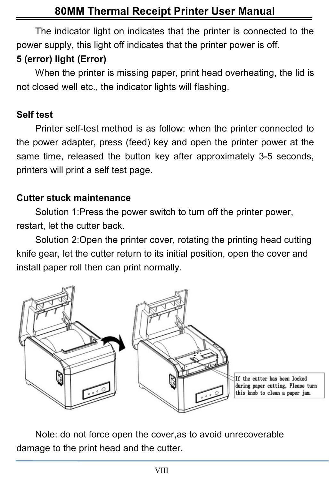The indicator light on indicates that the printer is connected to the power supply, this light off indicates that the printer power is off.

# **5 (error) light (Error)**

When the printer is missing paper, print head overheating, the lid is not closed well etc., the indicator lights will flashing.

#### **Self test**

Printer self-test method is as follow: when the printer connected to the power adapter, press (feed) key and open the printer power at the same time, released the button key after approximately 3-5 seconds, printers will print a self test page.

#### **Cutter stuck maintenance**

Solution 1:Press the power switch to turn off the printer power, restart, let the cutter back.

Solution 2:Open the printer cover, rotating the printing head cutting knife gear, let the cutter return to its initial position, open the cover and install paper roll then can print normally.



Note: do not force open the cover,as to avoid unrecoverable damage to the print head and the cutter.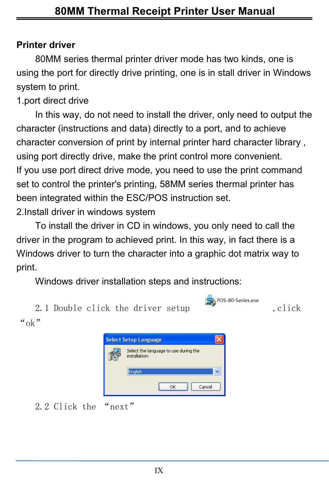#### **Printer driver**

80MM series thermal printer driver mode has two kinds, one is using the port for directly drive printing, one is in stall driver in Windows system to print.

1.port direct drive

In this way, do not need to install the driver, only need to output the character (instructions and data) directly to a port, and to achieve character conversion of print by internal printer hard character library , using port directly drive, make the print control more convenient. If you use port direct drive mode, you need to use the print command set to control the printer's printing, 58MM series thermal printer has been integrated within the ESC/POS instruction set.

2.Install driver in windows system

To install the driver in CD in windows, you only need to call the driver in the program to achieved print. In this way, in fact there is a Windows driver to turn the character into a graphic dot matrix way to print.<br>Windows driver installation steps and instructions:

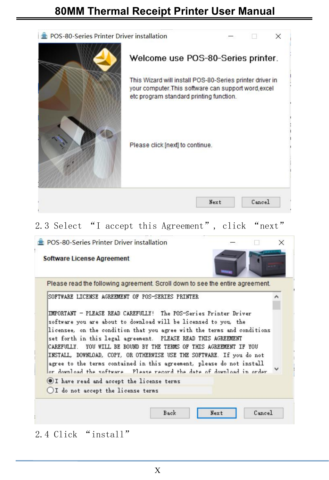

2.3 Select "I accept this Agreement", click "next"

| Please read the following agreement. Scroll down to see the entire agreement.                                                                                                                                                                                                                                                                                                                                                                                                                                                                                                    |  |  |
|----------------------------------------------------------------------------------------------------------------------------------------------------------------------------------------------------------------------------------------------------------------------------------------------------------------------------------------------------------------------------------------------------------------------------------------------------------------------------------------------------------------------------------------------------------------------------------|--|--|
| SOFTWARE LICENSE AGREEMENT OF POS-SERIES PRINTER                                                                                                                                                                                                                                                                                                                                                                                                                                                                                                                                 |  |  |
| IMPORTANT - PLEASE READ CAREFULLY! The POS-Series Printer Driver<br>software you are about to download will be licensed to you, the<br>licensee, on the condition that you agree with the terms and conditions<br>set forth in this legal agreement. PLEASE READ THIS AGREEMENT<br>CAREFULLY. YOU WILL BE BOUND BY THE TERMS OF THIS AGREEMENT IF YOU<br>INSTALL, DOWNLOAD, COPY, OR OTHERWISE USE THE SOFTWARE. If you do not<br>agree to the terms contained in this agreement, please do not install<br>or download the software. Please record the date of download in order |  |  |
| OI have read and accept the license terms                                                                                                                                                                                                                                                                                                                                                                                                                                                                                                                                        |  |  |
| OI do not accept the license terms                                                                                                                                                                                                                                                                                                                                                                                                                                                                                                                                               |  |  |

2.4 Click "install"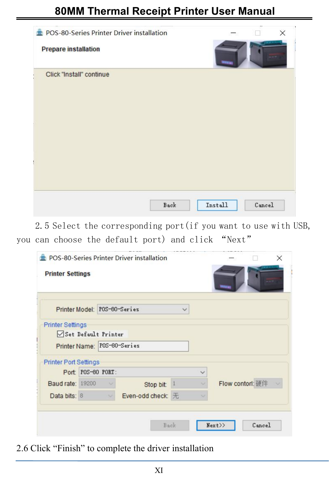| POS-80-Series Printer Driver installation<br><b>Prepare installation</b> |      |         | $\times$ |
|--------------------------------------------------------------------------|------|---------|----------|
| Click "Install" continue                                                 |      |         |          |
|                                                                          |      |         |          |
|                                                                          |      |         |          |
|                                                                          | Back | Install | Cancel   |

2.5 Select the corresponding port(if you want to use with USB, you can choose the default port) and click "Next"

| <b>Printer Settings</b>      |                                                    |                   |   |                  |
|------------------------------|----------------------------------------------------|-------------------|---|------------------|
|                              |                                                    |                   |   |                  |
|                              | Printer Model: POS-60-Series                       |                   |   |                  |
| <b>Printer Settings</b>      |                                                    |                   |   |                  |
|                              | Set Default Printer<br>Printer Name: POS-80-Series |                   |   |                  |
|                              |                                                    |                   |   |                  |
| <b>Printer Port Settings</b> |                                                    |                   |   |                  |
|                              | Port: POS-60 PORT:                                 |                   | Ŵ |                  |
| <b>Baud rate: 19200</b>      | $\sim$                                             | Stop bit: 1       |   | Flow contorl: 硬件 |
| Data bits: 8                 |                                                    | Even-odd check: 无 |   |                  |
|                              |                                                    |                   |   |                  |
|                              |                                                    | Back              |   | Next>><br>Cancel |

2.6 Click "Finish" to complete the driver installation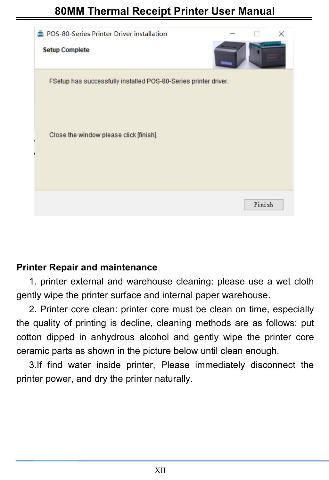

#### **Printer Repair and maintenance**

1. printer external and warehouse cleaning: please use a wet cloth gently wipe the printer surface and internal paper warehouse.

2. Printer core clean: printer core must be clean on time, especially the quality of printing is decline, cleaning methods are as follows: put cotton dipped in anhydrous alcohol and gently wipe the printer core ceramic parts as shown in the picture below until clean enough.

3.If find water inside printer, Please immediately disconnect the printer power, and dry the printer naturally.